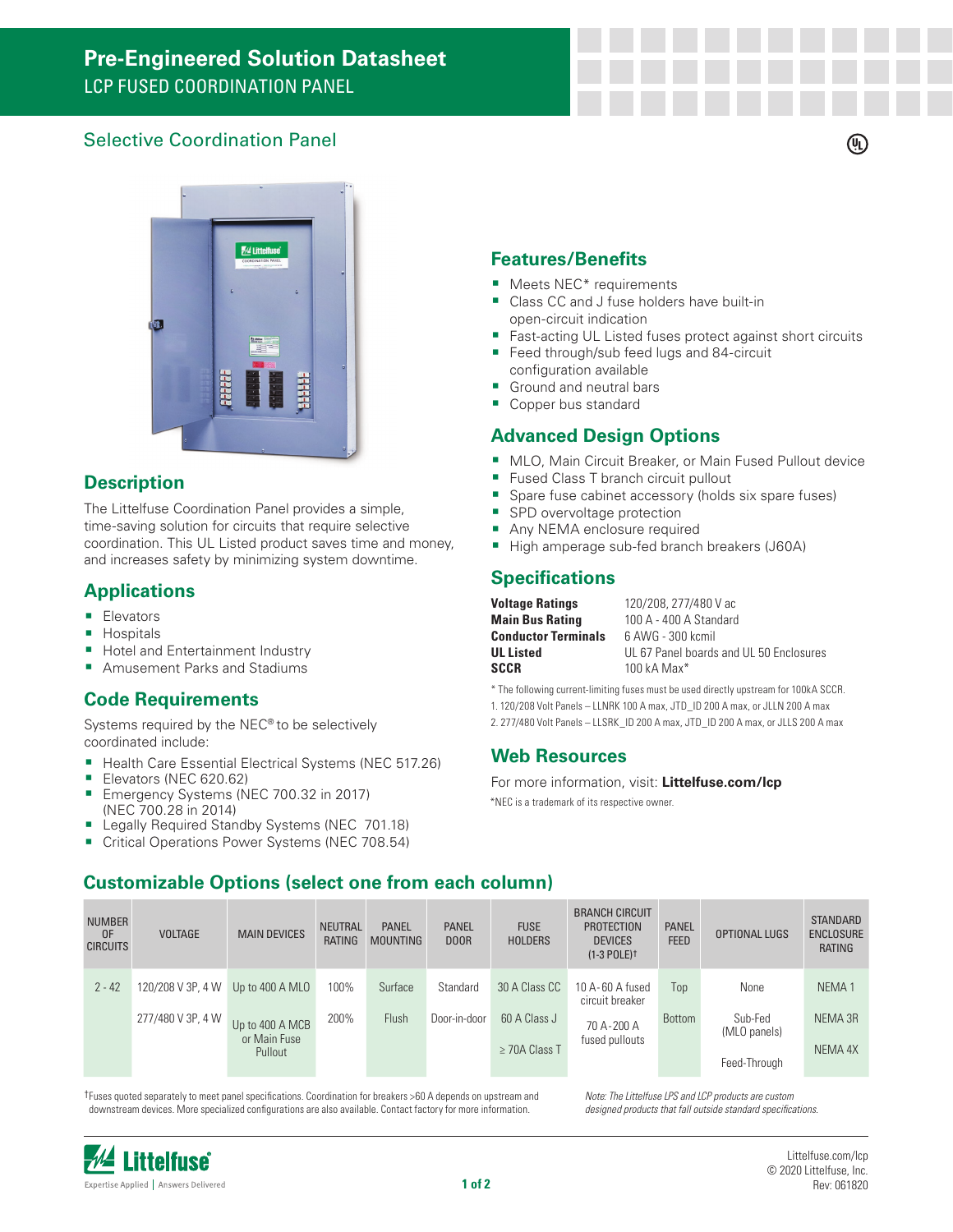# **Pre-Engineered Solution Datasheet** LCP FUSED COORDINATION PANEL

## Selective Coordination Panel



### **Description**

The Littelfuse Coordination Panel provides a simple, time-saving solution for circuits that require selective coordination. This UL Listed product saves time and money, and increases safety by minimizing system downtime.

#### **Applications**

- **Elevators**
- **Hospitals**
- **Hotel and Entertainment Industry**
- **Amusement Parks and Stadiums**

## **Code Requirements**

Systems required by the NEC® to be selectively coordinated include:

- Health Care Essential Electrical Systems (NEC 517.26)
- Elevators (NEC 620.62)
- Emergency Systems (NEC 700.32 in 2017) (NEC 700.28 in 2014)
- **Legally Required Standby Systems (NEC 701.18)**
- Critical Operations Power Systems (NEC 708.54)

#### **Features/Benefits**

- **Meets NEC\*** requirements
- Class CC and J fuse holders have built-in open-circuit indication
- Fast-acting UL Listed fuses protect against short circuits

 $(\mathbb{q})$ 

- Feed through/sub feed lugs and 84-circuit configuration available
- Ground and neutral bars
- Copper bus standard

### **Advanced Design Options**

- **MLO, Main Circuit Breaker, or Main Fused Pullout device**
- **Fused Class T branch circuit pullout**
- **Spare fuse cabinet accessory (holds six spare fuses)**
- **SPD** overvoltage protection
- **Any NEMA enclosure required**
- High amperage sub-fed branch breakers (J60A)

### **Specifications**

| <b>Voltage Ratings</b>     | 120/208, 277/480 V ac                   |
|----------------------------|-----------------------------------------|
| <b>Main Bus Rating</b>     | 100 A - 400 A Standard                  |
| <b>Conductor Terminals</b> | 6 AWG - 300 kcmil                       |
| UL Listed                  | UL 67 Panel boards and UL 50 Enclosures |
| SCCR                       | 100 kA Max $*$                          |

\* The following current-limiting fuses must be used directly upstream for 100kA SCCR.

- 1. 120/208 Volt Panels LLNRK 100 A max, JTD\_ID 200 A max, or JLLN 200 A max
- 2. 277/480 Volt Panels LLSRK\_ID 200 A max, JTD\_ID 200 A max, or JLLS 200 A max

#### **Web Resources**

\*NEC is a trademark of its respective owner. For more information, visit: **Littelfuse.com/lcp**

| <b>NUMBER</b><br>0F<br><b>CIRCUITS</b> | <b>VOLTAGE</b>    | <b>MAIN DEVICES</b>                        | <b>NEUTRAL</b><br><b>RATING</b> | <b>PANEL</b><br><b>MOUNTING</b> | <b>PANEL</b><br>DOOR | <b>FUSE</b><br><b>HOLDERS</b>      | <b>BRANCH CIRCUIT</b><br><b>PROTECTION</b><br><b>DEVICES</b><br>$(1-3$ POLE) $\dagger$ | <b>PANEL</b><br><b>FEED</b> | OPTIONAL LUGS           | <b>STANDARD</b><br><b>ENCLOSURE</b><br>RATING |
|----------------------------------------|-------------------|--------------------------------------------|---------------------------------|---------------------------------|----------------------|------------------------------------|----------------------------------------------------------------------------------------|-----------------------------|-------------------------|-----------------------------------------------|
| $2 - 42$                               | 120/208 V 3P, 4 W | Up to 400 A MLO                            | 100%                            | Surface                         | Standard             | 30 A Class CC                      | 10 A-60 A fused<br>circuit breaker                                                     | Top                         | None                    | NEMA <sub>1</sub>                             |
|                                        | 277/480 V 3P, 4 W | Up to 400 A MCB<br>or Main Fuse<br>Pullout | 200%                            | Flush                           | Door-in-door         | 60 A Class J<br>$\geq$ 70A Class T | 70 A-200 A<br>fused pullouts                                                           | Bottom                      | Sub-Fed<br>(MLO panels) | NEMA 3R<br>NEMA 4X                            |
|                                        |                   |                                            |                                 |                                 |                      |                                    |                                                                                        |                             | Feed-Through            |                                               |

†Fuses quoted separately to meet panel specifications. Coordination for breakers >60 A depends on upstream and downstream devices. More specialized configurations are also available. Contact factory for more information.

**Customizable Options (select one from each column)**

*Note: The Littelfuse LPS and LCP products are custom designed products that fall outside standard specifications.*